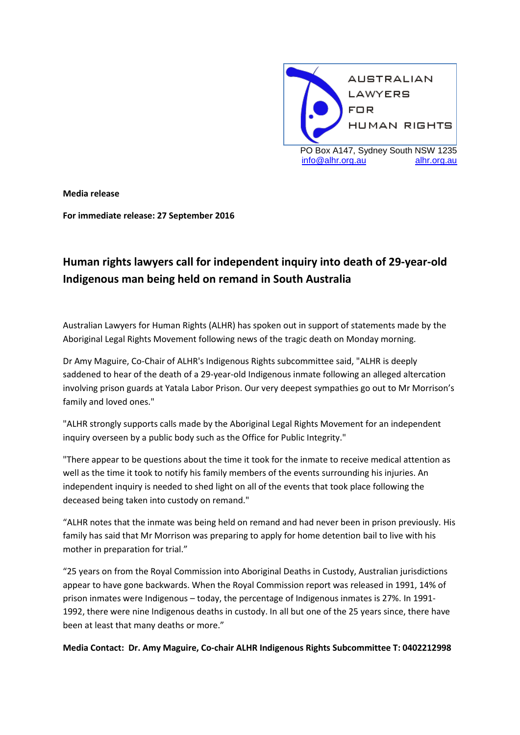

**Media release**

**For immediate release: 27 September 2016**

## **Human rights lawyers call for independent inquiry into death of 29-year-old Indigenous man being held on remand in South Australia**

Australian Lawyers for Human Rights (ALHR) has spoken out in support of statements made by the Aboriginal Legal Rights Movement following news of the tragic death on Monday morning.

Dr Amy Maguire, Co-Chair of ALHR's Indigenous Rights subcommittee said, "ALHR is deeply saddened to hear of the death of a 29-year-old Indigenous inmate following an alleged altercation involving prison guards at Yatala Labor Prison. Our very deepest sympathies go out to Mr Morrison's family and loved ones."

"ALHR strongly supports calls made by the Aboriginal Legal Rights Movement for an independent inquiry overseen by a public body such as the Office for Public Integrity."

"There appear to be questions about the time it took for the inmate to receive medical attention as well as the time it took to notify his family members of the events surrounding his injuries. An independent inquiry is needed to shed light on all of the events that took place following the deceased being taken into custody on remand."

"ALHR notes that the inmate was being held on remand and had never been in prison previously. His family has said that Mr Morrison was preparing to apply for home detention bail to live with his mother in preparation for trial."

"25 years on from the Royal Commission into Aboriginal Deaths in Custody, Australian jurisdictions appear to have gone backwards. When the Royal Commission report was released in 1991, 14% of prison inmates were Indigenous – today, the percentage of Indigenous inmates is 27%. In 1991- 1992, there were nine Indigenous deaths in custody. In all but one of the 25 years since, there have been at least that many deaths or more."

**Media Contact: Dr. Amy Maguire, Co-chair ALHR Indigenous Rights Subcommittee T: 0402212998**